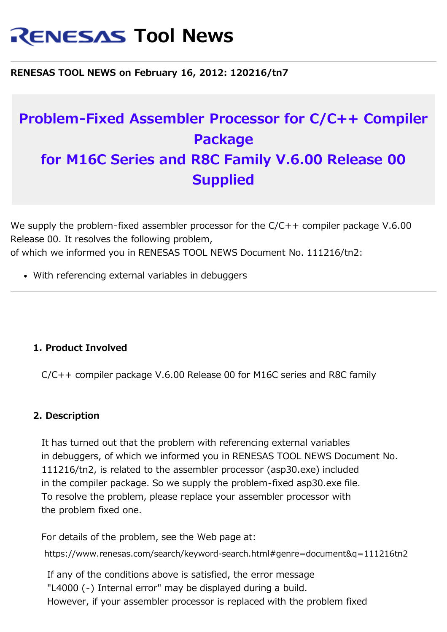# **RENESAS Tool News**

**RENESAS TOOL NEWS on February 16, 2012: 120216/tn7**

## **Problem-Fixed Assembler Processor for C/C++ Compiler Package for M16C Series and R8C Family V.6.00 Release 00 Supplied**

We supply the problem-fixed assembler processor for the C/C++ compiler package V.6.00 Release 00. It resolves the following problem, of which we informed you in RENESAS TOOL NEWS Document No. 111216/tn2:

With referencing external variables in debuggers

### **1. Product Involved**

C/C++ compiler package V.6.00 Release 00 for M16C series and R8C family

### **2. Description**

It has turned out that the problem with referencing external variables in debuggers, of which we informed you in RENESAS TOOL NEWS Document No. 111216/tn2, is related to the assembler processor (asp30.exe) included in the compiler package. So we supply the problem-fixed asp30.exe file. To resolve the problem, please replace your assembler processor with the problem fixed one.

For details of the problem, see the Web page at:

https://www.renesas.com/search/keyword-search.html#genre=document&q=111216tn2

If any of the conditions above is satisfied, the error message "L4000 (-) Internal error" may be displayed during a build. However, if your assembler processor is replaced with the problem fixed